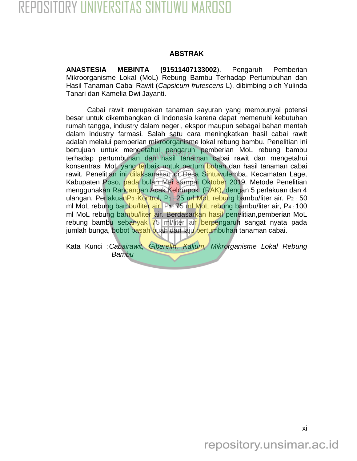## **ABSTRAK**

**ANASTESIA MEBINTA (91511407133002**). Pengaruh Pemberian Mikroorganisme Lokal (MoL) Rebung Bambu Terhadap Pertumbuhan dan Hasil Tanaman Cabai Rawit (*Capsicum frutescens* L), dibimbing oleh Yulinda Tanari dan Kamelia Dwi Jayanti.

Cabai rawit merupakan tanaman sayuran yang mempunyai potensi besar untuk dikembangkan di Indonesia karena dapat memenuhi kebutuhan rumah tangga, industry dalam negeri, ekspor maupun sebagai bahan mentah dalam industry farmasi. Salah satu cara meningkatkan hasil cabai rawit adalah melalui pemberian mikroorganisme lokal rebung bambu. Penelitian ini bertujuan untuk mengetahui pengaruh pemberian MoL rebung bambu terhadap pertumbuhan dan hasil tanaman cabai rawit dan mengetahui konsentrasi MoL yang terbaik untuk pertum buhan dan hasil tanaman cabai rawit. Penelitian ini dilaksanakan di Desa Sintuwulemba, Kecamatan Lage, Kabupaten Poso, pada bulan Mei sampai Oktober 2019. Metode Penelitian menggunakan Rancangan Acak Kelompok (RAK), dengan 5 perlakuan dan 4 ulangan. PerlakuanPo : Kontrol, P1 : 25 ml MoL rebung bambu/liter air, P2 : 50 ml MoL rebung bambu/liter air, P<sub>3</sub> : 75 ml MoL rebung bambu/liter air, P<sub>4</sub> : 100 ml MoL rebung bambu/liter air. Berdasarkan hasil penelitian,pemberian MoL rebung bambu sebanyak 75 ml/liter air berpengaruh sangat nyata pada jumlah bunga, bobot basah buah dan laju pertumbuhan tanaman cabai.

Kata Kunci :*Cabairawit, Giberelin, Kalium, Mikrorganisme Lokal Rebung Bambu*